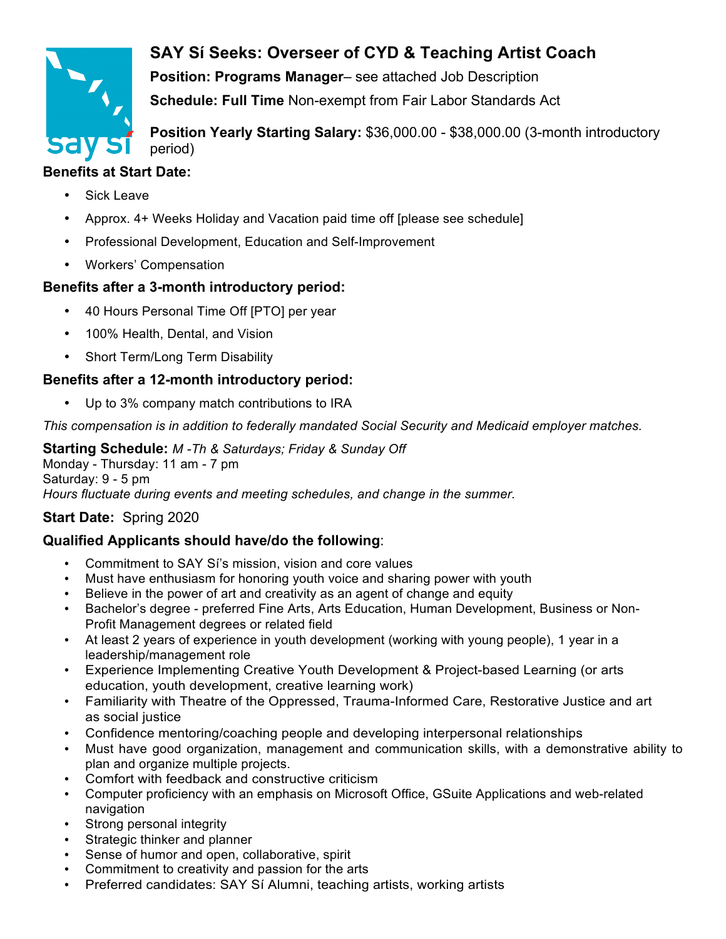

# **SAY Sí Seeks: Overseer of CYD & Teaching Artist Coach**

**Position: Programs Manager**– see attached Job Description

**Schedule: Full Time** Non-exempt from Fair Labor Standards Act

**Position Yearly Starting Salary:** \$36,000.00 - \$38,000.00 (3-month introductory period)

# **Benefits at Start Date:**

- Sick Leave
- Approx. 4+ Weeks Holiday and Vacation paid time off [please see schedule]
- Professional Development, Education and Self-Improvement
- Workers' Compensation

# **Benefits after a 3-month introductory period:**

- 40 Hours Personal Time Off [PTO] per year
- 100% Health, Dental, and Vision
- Short Term/Long Term Disability

# **Benefits after a 12-month introductory period:**

Up to 3% company match contributions to IRA

*This compensation is in addition to federally mandated Social Security and Medicaid employer matches.*

### **Starting Schedule:** *M -Th & Saturdays; Friday & Sunday Off*

Monday - Thursday: 11 am - 7 pm Saturday: 9 - 5 pm *Hours fluctuate during events and meeting schedules, and change in the summer.*

### **Start Date:** Spring 2020

### **Qualified Applicants should have/do the following**:

- Commitment to SAY Sí's mission, vision and core values
- Must have enthusiasm for honoring youth voice and sharing power with youth
- Believe in the power of art and creativity as an agent of change and equity
- Bachelor's degree preferred Fine Arts, Arts Education, Human Development, Business or Non-Profit Management degrees or related field
- At least 2 years of experience in youth development (working with young people), 1 year in a leadership/management role
- Experience Implementing Creative Youth Development & Project-based Learning (or arts education, youth development, creative learning work)
- Familiarity with Theatre of the Oppressed, Trauma-Informed Care, Restorative Justice and art as social justice
- Confidence mentoring/coaching people and developing interpersonal relationships
- Must have good organization, management and communication skills, with a demonstrative ability to plan and organize multiple projects.
- Comfort with feedback and constructive criticism
- Computer proficiency with an emphasis on Microsoft Office, GSuite Applications and web-related navigation
- Strong personal integrity
- Strategic thinker and planner
- Sense of humor and open, collaborative, spirit
- Commitment to creativity and passion for the arts
- Preferred candidates: SAY Sí Alumni, teaching artists, working artists